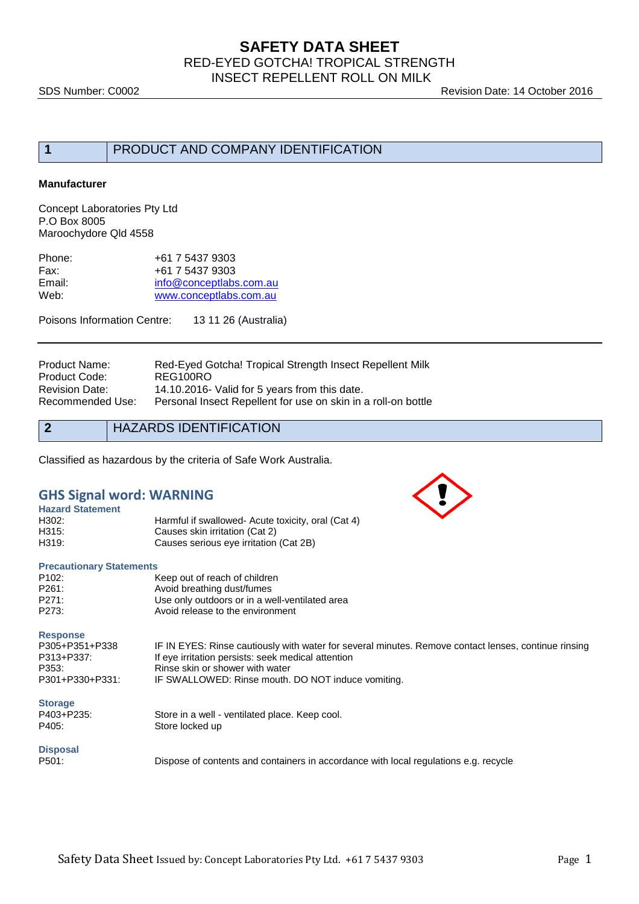## **SAFETY DATA SHEET** RED-EYED GOTCHA! TROPICAL STRENGTH INSECT REPELLENT ROLL ON MILK

SDS Number: C0002 **Revision Date: 14 October 2016** 

# **1** PRODUCT AND COMPANY IDENTIFICATION

#### **Manufacturer**

Concept Laboratories Pty Ltd P.O Box 8005 Maroochydore Qld 4558

| +61 7 5437 9303         |
|-------------------------|
| +61 7 5437 9303         |
| info@conceptlabs.com.au |
| www.conceptlabs.com.au  |
|                         |

Poisons Information Centre: 13 11 26 (Australia)

| Red-Eyed Gotcha! Tropical Strength Insect Repellent Milk      |
|---------------------------------------------------------------|
| REG100RO                                                      |
| 14.10.2016- Valid for 5 years from this date.                 |
| Personal Insect Repellent for use on skin in a roll-on bottle |
|                                                               |

## **2** HAZARDS IDENTIFICATION

Classified as hazardous by the criteria of Safe Work Australia.

### **GHS Signal word: WARNING**

| <b>Hazard Statement</b> |                                                    |
|-------------------------|----------------------------------------------------|
| H302:                   | Harmful if swallowed- Acute toxicity, oral (Cat 4) |
| H315:                   | Causes skin irritation (Cat 2)                     |
| H319:                   | Causes serious eye irritation (Cat 2B)             |

#### **Precautionary Statements**

| P <sub>102</sub> : | Keep out of reach of children                  |
|--------------------|------------------------------------------------|
| P261:              | Avoid breathing dust/fumes                     |
| P271:              | Use only outdoors or in a well-ventilated area |
| P273:              | Avoid release to the environment               |
|                    |                                                |

**Response**

| P305+P351+P338  | IF IN EYES: Rinse cautiously with water for several minutes. Remove contact lenses, continue rinsing |
|-----------------|------------------------------------------------------------------------------------------------------|
| P313+P337:      | If eye irritation persists: seek medical attention                                                   |
| P353:           | Rinse skin or shower with water                                                                      |
| P301+P330+P331: | IF SWALLOWED: Rinse mouth. DO NOT induce vomiting.                                                   |

#### **Storage**

| P403+P235: |  |
|------------|--|
| P405:      |  |

Store in a well - ventilated place. Keep cool. Store locked up

#### **Disposal**

P501: Dispose of contents and containers in accordance with local regulations e.g. recycle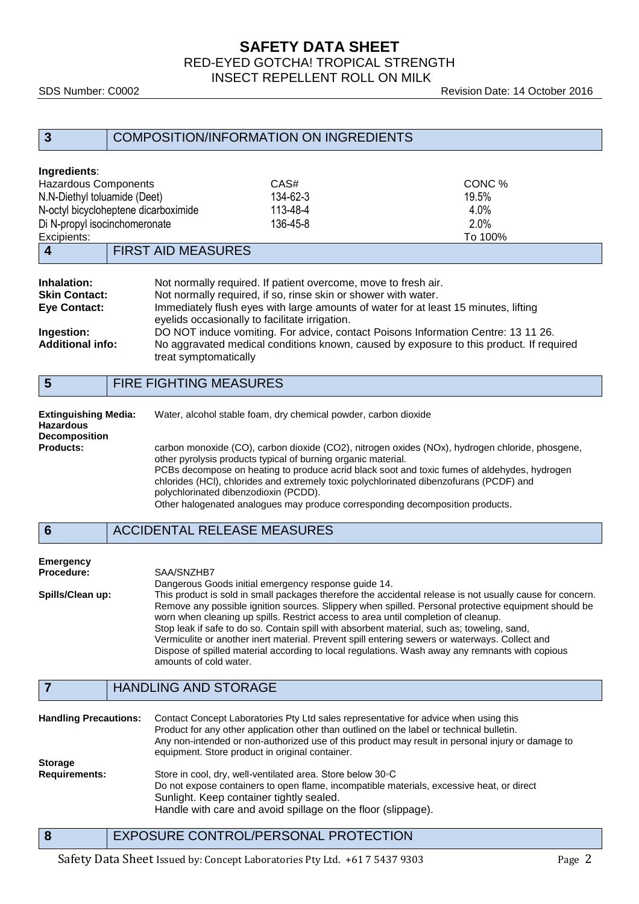## **SAFETY DATA SHEET** RED-EYED GOTCHA! TROPICAL STRENGTH INSECT REPELLENT ROLL ON MILK

SDS Number: C0002 Revision Date: 14 October 2016

| 3                                                                                                            | <b>COMPOSITION/INFORMATION ON INGREDIENTS</b> |                                                                                                                                  |                                                                                     |
|--------------------------------------------------------------------------------------------------------------|-----------------------------------------------|----------------------------------------------------------------------------------------------------------------------------------|-------------------------------------------------------------------------------------|
| Ingredients:<br><b>Hazardous Components</b><br>N.N-Diethyl toluamide (Deet)<br>Di N-propyl isocinchomeronate | N-octyl bicycloheptene dicarboximide          | CAS#<br>134-62-3<br>113-48-4<br>136-45-8                                                                                         | CONC %<br>19.5%<br>4.0%<br>2.0%                                                     |
| Excipients:<br>4                                                                                             | <b>FIRST AID MEASURES</b>                     |                                                                                                                                  | To 100%                                                                             |
| Inhalation:<br><b>Skin Contact:</b><br><b>Eye Contact:</b>                                                   |                                               | Not normally required. If patient overcome, move to fresh air.<br>Not normally required, if so, rinse skin or shower with water. | Immediately flush eyes with large amounts of water for at least 15 minutes, lifting |

eyelids occasionally to facilitate irrigation. **Ingestion:** DO NOT induce vomiting. For advice, contact Poisons Information Centre: 13 11 26.<br> **Additional info:** No aggravated medical conditions known, caused by exposure to this product. If regi **Additional info:** No aggravated medical conditions known, caused by exposure to this product. If required treat symptomatically

## **5** FIRE FIGHTING MEASURES

| <b>Extinguishing Media:</b><br><b>Hazardous</b> | Water, alcohol stable foam, dry chemical powder, carbon dioxide                                                                                                                                                                                                                                                                                                                                      |
|-------------------------------------------------|------------------------------------------------------------------------------------------------------------------------------------------------------------------------------------------------------------------------------------------------------------------------------------------------------------------------------------------------------------------------------------------------------|
| <b>Decomposition</b>                            |                                                                                                                                                                                                                                                                                                                                                                                                      |
| <b>Products:</b>                                | carbon monoxide (CO), carbon dioxide (CO2), nitrogen oxides (NOx), hydrogen chloride, phosgene,<br>other pyrolysis products typical of burning organic material.<br>PCBs decompose on heating to produce acrid black soot and toxic fumes of aldehydes, hydrogen<br>chlorides (HCI), chlorides and extremely toxic polychlorinated dibenzofurans (PCDF) and<br>polychlorinated dibenzodioxin (PCDD). |
|                                                 | Other halogenated analogues may produce corresponding decomposition products.                                                                                                                                                                                                                                                                                                                        |

#### **6** ACCIDENTAL RELEASE MEASURES

# **Emergency**

**Procedure:** SAA/SNZHB7 Dangerous Goods initial emergency response guide 14. **Spills/Clean up:** This product is sold in small packages therefore the accidental release is not usually cause for concern. Remove any possible ignition sources. Slippery when spilled. Personal protective equipment should be worn when cleaning up spills. Restrict access to area until completion of cleanup. Stop leak if safe to do so. Contain spill with absorbent material, such as; toweling, sand, Vermiculite or another inert material. Prevent spill entering sewers or waterways. Collect and Dispose of spilled material according to local regulations. Wash away any remnants with copious amounts of cold water.

# **7** HANDLING AND STORAGE

| <b>Handling Precautions:</b> | Contact Concept Laboratories Pty Ltd sales representative for advice when using this<br>Product for any other application other than outlined on the label or technical bulletin.<br>Any non-intended or non-authorized use of this product may result in personal injury or damage to<br>equipment. Store product in original container. |
|------------------------------|-------------------------------------------------------------------------------------------------------------------------------------------------------------------------------------------------------------------------------------------------------------------------------------------------------------------------------------------|
| <b>Storage</b>               |                                                                                                                                                                                                                                                                                                                                           |
| <b>Requirements:</b>         | Store in cool, dry, well-ventilated area. Store below 30 °C                                                                                                                                                                                                                                                                               |
|                              | Do not expose containers to open flame, incompatible materials, excessive heat, or direct                                                                                                                                                                                                                                                 |
|                              | Sunlight. Keep container tightly sealed.                                                                                                                                                                                                                                                                                                  |
|                              | Handle with care and avoid spillage on the floor (slippage).                                                                                                                                                                                                                                                                              |

**8** EXPOSURE CONTROL/PERSONAL PROTECTION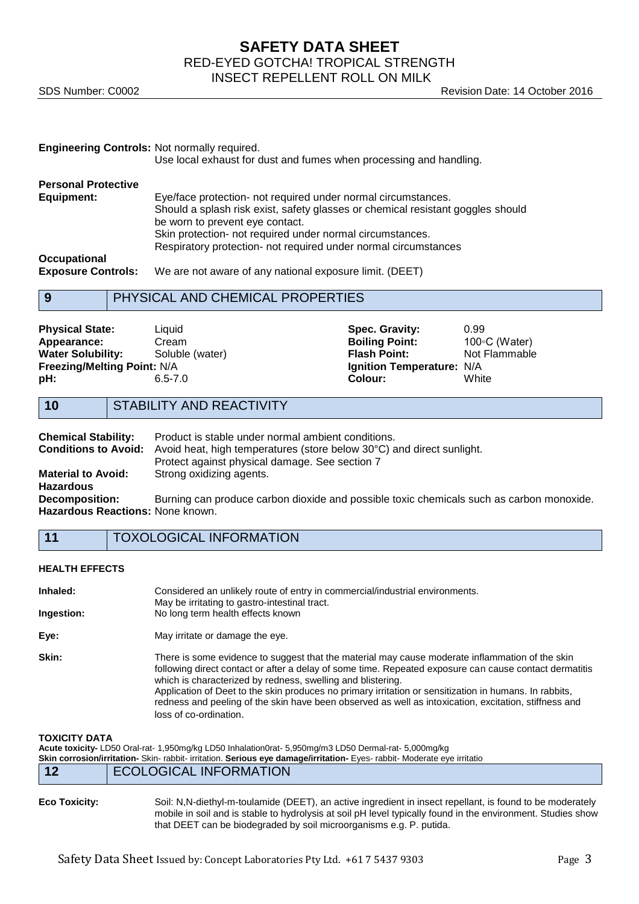## **SAFETY DATA SHEET** RED-EYED GOTCHA! TROPICAL STRENGTH INSECT REPELLENT ROLL ON MILK

SDS Number: C0002 **Revision Date: 14 October 2016** 

| <b>Engineering Controls: Not normally required.</b>                                                                                                                     | Use local exhaust for dust and fumes when processing and handling.                                                                                                                                                                                                                                                                                                                 |                                                                                                        |                                                  |
|-------------------------------------------------------------------------------------------------------------------------------------------------------------------------|------------------------------------------------------------------------------------------------------------------------------------------------------------------------------------------------------------------------------------------------------------------------------------------------------------------------------------------------------------------------------------|--------------------------------------------------------------------------------------------------------|--------------------------------------------------|
| <b>Personal Protective</b><br><b>Equipment:</b><br>Occupational<br><b>Exposure Controls:</b>                                                                            | Eye/face protection- not required under normal circumstances.<br>Should a splash risk exist, safety glasses or chemical resistant goggles should<br>be worn to prevent eye contact.<br>Skin protection- not required under normal circumstances.<br>Respiratory protection- not required under normal circumstances<br>We are not aware of any national exposure limit. (DEET)     |                                                                                                        |                                                  |
| 9                                                                                                                                                                       | PHYSICAL AND CHEMICAL PROPERTIES                                                                                                                                                                                                                                                                                                                                                   |                                                                                                        |                                                  |
| <b>Physical State:</b><br>Appearance:<br><b>Water Solubility:</b><br>Freezing/Melting Point: N/A<br>pH:                                                                 | Liquid<br>Cream<br>Soluble (water)<br>$6.5 - 7.0$                                                                                                                                                                                                                                                                                                                                  | Spec. Gravity:<br><b>Boiling Point:</b><br><b>Flash Point:</b><br>Ignition Temperature: N/A<br>Colour: | 0.99<br>100 °C (Water)<br>Not Flammable<br>White |
| 10                                                                                                                                                                      | STABILITY AND REACTIVITY                                                                                                                                                                                                                                                                                                                                                           |                                                                                                        |                                                  |
| <b>Chemical Stability:</b><br><b>Conditions to Avoid:</b><br><b>Material to Avoid:</b><br><b>Hazardous</b><br><b>Decomposition:</b><br>Hazardous Reactions: None known. | Product is stable under normal ambient conditions.<br>Avoid heat, high temperatures (store below 30°C) and direct sunlight.<br>Protect against physical damage. See section 7<br>Strong oxidizing agents.<br>Burning can produce carbon dioxide and possible toxic chemicals such as carbon monoxide.                                                                              |                                                                                                        |                                                  |
| 11                                                                                                                                                                      | <b>TOXOLOGICAL INFORMATION</b>                                                                                                                                                                                                                                                                                                                                                     |                                                                                                        |                                                  |
| <b>HEALTH EFFECTS</b>                                                                                                                                                   |                                                                                                                                                                                                                                                                                                                                                                                    |                                                                                                        |                                                  |
| Inhaled:<br>Ingestion:                                                                                                                                                  | Considered an unlikely route of entry in commercial/industrial environments.<br>May be irritating to gastro-intestinal tract.<br>No long term health effects known                                                                                                                                                                                                                 |                                                                                                        |                                                  |
| Eye:                                                                                                                                                                    | May irritate or damage the eye.                                                                                                                                                                                                                                                                                                                                                    |                                                                                                        |                                                  |
| Skin:                                                                                                                                                                   | There is some evidence to suggest that the material may cause moderate inflammation of the skin<br>following direct contact or after a delay of some time. Repeated exposure can cause contact dermatitis<br>which is characterized by redness, swelling and blistering.<br>Application of Deet to the skin produces no primary irritation or sensitization in humans. In rabbits, |                                                                                                        |                                                  |

**TOXICITY DATA**

|                      | Acute toxicity- LD50 Oral-rat- 1,950mg/kg LD50 Inhalation0rat- 5,950mg/m3 LD50 Dermal-rat- 5,000mg/kg<br>Skin corrosion/irritation-Skin-rabbit-irritation. Serious eye damage/irritation-Eyes-rabbit-Moderate eye irritatio |
|----------------------|-----------------------------------------------------------------------------------------------------------------------------------------------------------------------------------------------------------------------------|
| 12                   | <b>ECOLOGICAL INFORMATION</b>                                                                                                                                                                                               |
| <b>Eco Toxicity:</b> | Soil: N,N-diethyl-m-toulamide (DEET), an active ingredient in insect repellant, is found to be moderately                                                                                                                   |

mobile in soil and is stable to hydrolysis at soil pH level typically found in the environment. Studies show that DEET can be biodegraded by soil microorganisms e.g. P. putida.

redness and peeling of the skin have been observed as well as intoxication, excitation, stiffness and

loss of co-ordination.